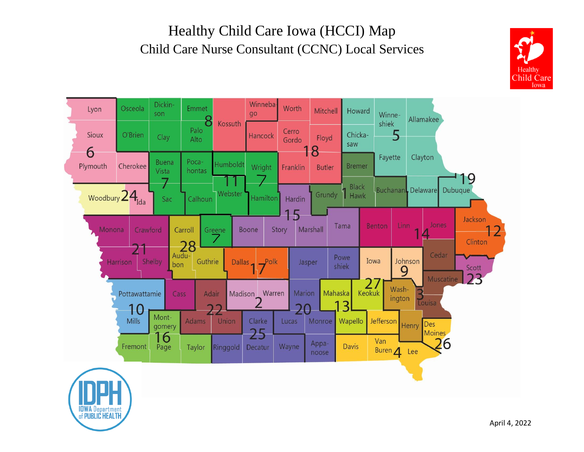## Healthy Child Care Iowa (HCCI) Map Child Care Nurse Consultant (CCNC) Local Services





**IDWA Department**<br>of PUBLIC HEALTH

April 4, 2022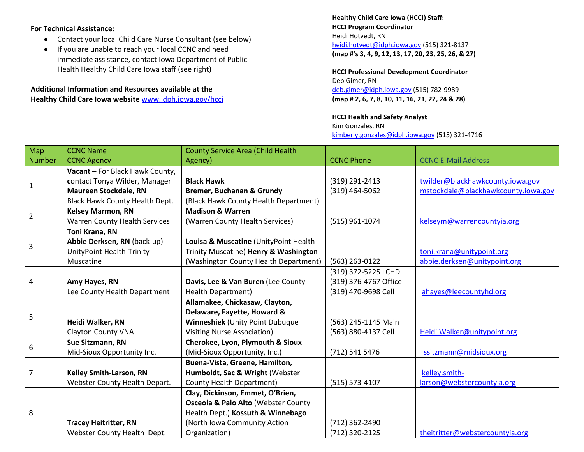## **For Technical Assistance:**

- Contact your local Child Care Nurse Consultant (see below)
- If you are unable to reach your local CCNC and need immediate assistance, contact Iowa Department of Public Health Healthy Child Care Iowa staff (see right)

## **Additional Information and Resources available at the Healthy Child Care Iowa website** [www.idph.iowa.gov/hcci](http://www.idph.iowa.gov/hcci)

**Healthy Child Care Iowa (HCCI) Staff: HCCI Program Coordinator** Heidi Hotvedt, RN [heidi.hotvedt@idph.iowa.gov](mailto:heidi.hotvedt@idph.iowa.gov) (515) 321-8137 **(map #'s 3, 4, 9, 12, 13, 17, 20, 23, 25, 26, & 27)**

**HCCI Professional Development Coordinator** Deb Gimer, RN [deb.gimer@idph.iowa.gov](mailto:deb.gimer@idph.iowa.gov) (515) 782-9989 **(map # 2, 6, 7, 8, 10, 11, 16, 21, 22, 24 & 28)**

## **HCCI Health and Safety Analyst** Kim Gonzales, RN [kimberly.gonzales@idph.iowa.gov](mailto:kimberly.gonzales@idph.iowa.gov) (515) 321-4716

| Map            | <b>CCNC Name</b>                | <b>County Service Area (Child Health</b>       |                       |                                     |
|----------------|---------------------------------|------------------------------------------------|-----------------------|-------------------------------------|
| <b>Number</b>  | <b>CCNC Agency</b>              | Agency)                                        | <b>CCNC Phone</b>     | <b>CCNC E-Mail Address</b>          |
|                | Vacant - For Black Hawk County, |                                                |                       |                                     |
| $\mathbf{1}$   | contact Tonya Wilder, Manager   | <b>Black Hawk</b>                              | (319) 291-2413        | twilder@blackhawkcounty.iowa.gov    |
|                | <b>Maureen Stockdale, RN</b>    | <b>Bremer, Buchanan &amp; Grundy</b>           | $(319)$ 464-5062      | mstockdale@blackhawkcounty.iowa.gov |
|                | Black Hawk County Health Dept.  | (Black Hawk County Health Department)          |                       |                                     |
| $\overline{2}$ | <b>Kelsey Marmon, RN</b>        | <b>Madison &amp; Warren</b>                    |                       |                                     |
|                | Warren County Health Services   | (Warren County Health Services)                | (515) 961-1074        | kelseym@warrencountyia.org          |
|                | Toni Krana, RN                  |                                                |                       |                                     |
| 3              | Abbie Derksen, RN (back-up)     | Louisa & Muscatine (UnityPoint Health-         |                       |                                     |
|                | UnityPoint Health-Trinity       | Trinity Muscatine) Henry & Washington          |                       | toni.krana@unitypoint.org           |
|                | Muscatine                       | (Washington County Health Department)          | (563) 263-0122        | abbie.derksen@unitypoint.org        |
|                |                                 |                                                | (319) 372-5225 LCHD   |                                     |
| 4              | Amy Hayes, RN                   | Davis, Lee & Van Buren (Lee County             | (319) 376-4767 Office |                                     |
|                | Lee County Health Department    | Health Department)                             | (319) 470-9698 Cell   | ahayes@leecountyhd.org              |
|                |                                 | Allamakee, Chickasaw, Clayton,                 |                       |                                     |
|                |                                 | Delaware, Fayette, Howard &                    |                       |                                     |
| 5              | Heidi Walker, RN                | <b>Winneshiek (Unity Point Dubuque</b>         | (563) 245-1145 Main   |                                     |
|                | <b>Clayton County VNA</b>       | <b>Visiting Nurse Association)</b>             | (563) 880-4137 Cell   | Heidi. Walker@unitypoint.org        |
| 6              | Sue Sitzmann, RN                | Cherokee, Lyon, Plymouth & Sioux               |                       |                                     |
|                | Mid-Sioux Opportunity Inc.      | (Mid-Sioux Opportunity, Inc.)                  | (712) 541 5476        | ssitzmann@midsioux.org              |
| $\overline{7}$ |                                 | Buena-Vista, Greene, Hamilton,                 |                       |                                     |
|                | <b>Kelley Smith-Larson, RN</b>  | Humboldt, Sac & Wright (Webster                |                       | kelley.smith-                       |
|                | Webster County Health Depart.   | <b>County Health Department)</b>               | (515) 573-4107        | larson@webstercountyia.org          |
| 8              |                                 | Clay, Dickinson, Emmet, O'Brien,               |                       |                                     |
|                |                                 | <b>Osceola &amp; Palo Alto (Webster County</b> |                       |                                     |
|                |                                 | Health Dept.) Kossuth & Winnebago              |                       |                                     |
|                | <b>Tracey Heitritter, RN</b>    | (North Iowa Community Action                   | (712) 362-2490        |                                     |
|                | Webster County Health Dept.     | Organization)                                  | (712) 320-2125        | theitritter@webstercountyia.org     |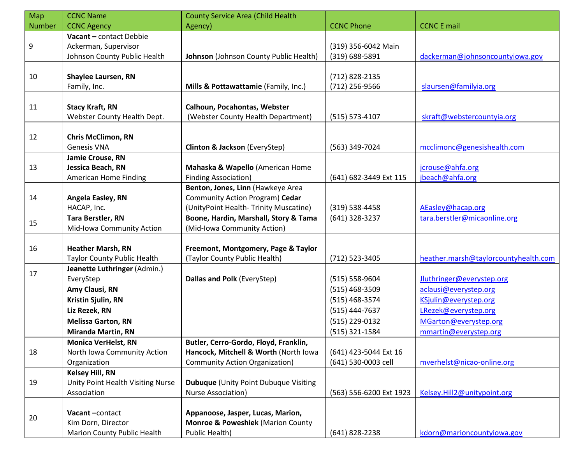| Map           | <b>CCNC Name</b>                   | <b>County Service Area (Child Health</b>     |                         |                                      |
|---------------|------------------------------------|----------------------------------------------|-------------------------|--------------------------------------|
| <b>Number</b> | <b>CCNC Agency</b>                 | Agency)                                      | <b>CCNC Phone</b>       | <b>CCNC E mail</b>                   |
|               | Vacant - contact Debbie            |                                              |                         |                                      |
| 9             | Ackerman, Supervisor               |                                              | (319) 356-6042 Main     |                                      |
|               | Johnson County Public Health       | Johnson (Johnson County Public Health)       | (319) 688-5891          | dackerman@johnsoncountyiowa.gov      |
|               |                                    |                                              |                         |                                      |
| 10            | <b>Shaylee Laursen, RN</b>         |                                              | (712) 828-2135          |                                      |
|               | Family, Inc.                       | Mills & Pottawattamie (Family, Inc.)         | (712) 256-9566          | slaursen@familyia.org                |
|               |                                    |                                              |                         |                                      |
| 11            | <b>Stacy Kraft, RN</b>             | Calhoun, Pocahontas, Webster                 |                         |                                      |
|               | Webster County Health Dept.        | (Webster County Health Department)           | (515) 573-4107          | skraft@webstercountyia.org           |
|               |                                    |                                              |                         |                                      |
| 12            | <b>Chris McClimon, RN</b>          |                                              |                         |                                      |
|               | <b>Genesis VNA</b>                 | Clinton & Jackson (EveryStep)                | (563) 349-7024          | mcclimonc@genesishealth.com          |
|               | Jamie Crouse, RN                   |                                              |                         |                                      |
| 13            | Jessica Beach, RN                  | Mahaska & Wapello (American Home             |                         | jcrouse@ahfa.org                     |
|               | <b>American Home Finding</b>       | <b>Finding Association)</b>                  | (641) 682-3449 Ext 115  | jbeach@ahfa.org                      |
|               |                                    | Benton, Jones, Linn (Hawkeye Area            |                         |                                      |
| 14            | Angela Easley, RN                  | Community Action Program) Cedar              |                         |                                      |
|               | HACAP, Inc.                        | (UnityPoint Health-Trinity Muscatine)        | $(319) 538 - 4458$      | AEasley@hacap.org                    |
| 15            | <b>Tara Berstler, RN</b>           | Boone, Hardin, Marshall, Story & Tama        | (641) 328-3237          | tara.berstler@micaonline.org         |
|               | Mid-Iowa Community Action          | (Mid-Iowa Community Action)                  |                         |                                      |
|               |                                    |                                              |                         |                                      |
| 16            | <b>Heather Marsh, RN</b>           | Freemont, Montgomery, Page & Taylor          |                         |                                      |
|               | <b>Taylor County Public Health</b> | (Taylor County Public Health)                | (712) 523-3405          | heather.marsh@taylorcountyhealth.com |
| 17            | Jeanette Luthringer (Admin.)       |                                              |                         |                                      |
|               | EveryStep                          | Dallas and Polk (EveryStep)                  | (515) 558-9604          | Jluthringer@everystep.org            |
|               | Amy Clausi, RN                     |                                              | (515) 468-3509          | aclausi@everystep.org                |
|               | Kristin Sjulin, RN                 |                                              | (515) 468-3574          | KSjulin@everystep.org                |
|               | Liz Rezek, RN                      |                                              | (515) 444-7637          | LRezek@everystep.org                 |
|               | <b>Melissa Garton, RN</b>          |                                              | (515) 229-0132          | MGarton@everystep.org                |
|               | <b>Miranda Martin, RN</b>          |                                              | (515) 321-1584          | mmartin@everystep.org                |
|               | <b>Monica VerHelst, RN</b>         | Butler, Cerro-Gordo, Floyd, Franklin,        |                         |                                      |
| 18            | North Iowa Community Action        | Hancock, Mitchell & Worth (North Iowa        | (641) 423-5044 Ext 16   |                                      |
|               | Organization                       | <b>Community Action Organization)</b>        | (641) 530-0003 cell     | mverhelst@nicao-online.org           |
|               | <b>Kelsey Hill, RN</b>             |                                              |                         |                                      |
| 19            | Unity Point Health Visiting Nurse  | <b>Dubuque</b> (Unity Point Dubuque Visiting |                         |                                      |
|               | Association                        | Nurse Association)                           | (563) 556-6200 Ext 1923 | Kelsey.Hill2@unitypoint.org          |
|               |                                    |                                              |                         |                                      |
| 20            | Vacant-contact                     | Appanoose, Jasper, Lucas, Marion,            |                         |                                      |
|               | Kim Dorn, Director                 | <b>Monroe &amp; Poweshiek (Marion County</b> |                         |                                      |
|               | Marion County Public Health        | Public Health)                               | (641) 828-2238          | kdorn@marioncountyiowa.gov           |